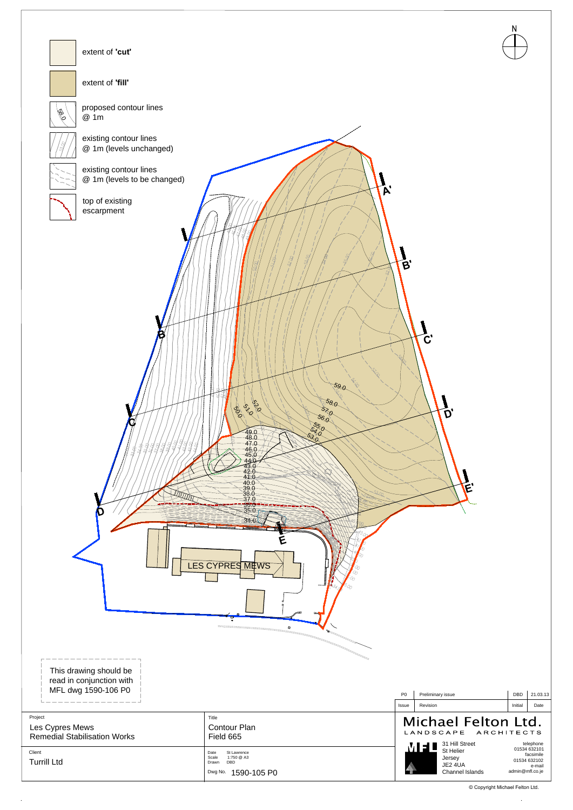

© Copyright Michael Felton Ltd.

 $\mathcal{A}^{\mathcal{A}}$ 

|                                                                           | $\mathbf{a}$                                                                             |                |                                                                               |         |                                                                        |
|---------------------------------------------------------------------------|------------------------------------------------------------------------------------------|----------------|-------------------------------------------------------------------------------|---------|------------------------------------------------------------------------|
| This drawing should be<br>read in conjunction with<br>MFL dwg 1590-106 P0 |                                                                                          | P <sub>0</sub> | Preliminary issue                                                             | DBD     | 21.03.13                                                               |
|                                                                           |                                                                                          | Issue          | Revision                                                                      | Initial | Date                                                                   |
| Project<br>Les Cypres Mews<br><b>Remedial Stabilisation Works</b>         | Title<br><b>Contour Plan</b><br>Field 665                                                |                | Michael Felton Ltd.<br>ARCHITECTS<br>LANDSCAPE<br>31 Hill Street<br>telephone |         |                                                                        |
| Client<br><b>Turrill Ltd</b>                                              | St Lawrence<br>Date<br>Scale<br>1:750 @ A3<br><b>DBD</b><br>Drawn<br>Dwg No. 1590-105 PO |                | MEL<br>St Helier<br>Jersey<br>JE2 4UA<br>Channel Islands                      |         | 01534 632101<br>facsimile<br>01534 632102<br>e-mail<br>admin@mfl.co.je |

 $\mathcal{A}^{\pm}$